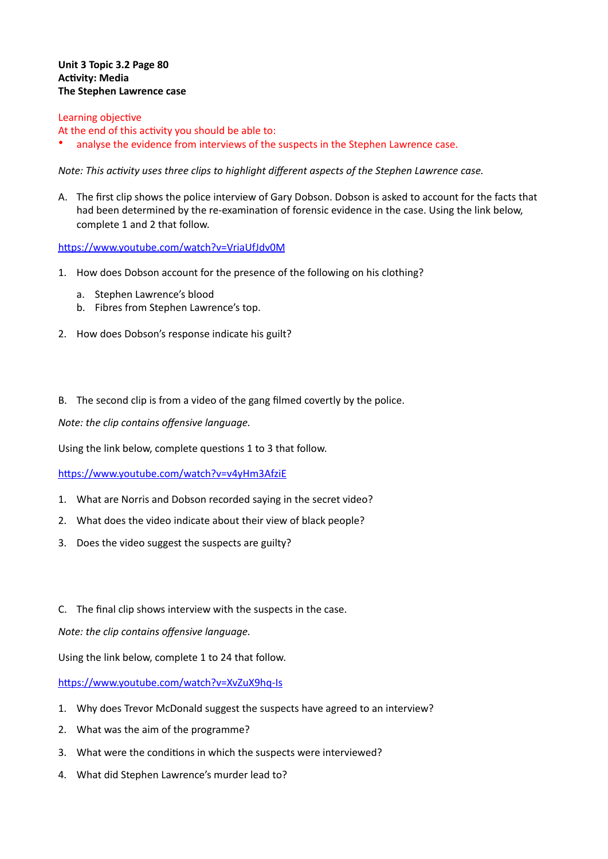## **Unit 3 Topic 3.2 Page 80 Activity: Media The Stephen Lawrence case**

## Learning objective

At the end of this activity you should be able to:

analyse the evidence from interviews of the suspects in the Stephen Lawrence case.

Note: This activity uses three clips to highlight different aspects of the Stephen Lawrence case.

A. The first clip shows the police interview of Gary Dobson. Dobson is asked to account for the facts that had been determined by the re-examination of forensic evidence in the case. Using the link below, complete 1 and 2 that follow.

https://www.youtube.com/watch?v=VriaUfJdv0M

- 1. How does Dobson account for the presence of the following on his clothing?
	- a. Stephen Lawrence's blood
	- b. Fibres from Stephen Lawrence's top.
- 2. How does Dobson's response indicate his guilt?
- B. The second clip is from a video of the gang filmed covertly by the police.

*Note: the clip contains offensive language.* 

Using the link below, complete questions 1 to 3 that follow.

https://www.youtube.com/watch?v=v4yHm3AfziE

- 1. What are Norris and Dobson recorded saying in the secret video?
- 2. What does the video indicate about their view of black people?
- 3. Does the video suggest the suspects are guilty?
- C. The final clip shows interview with the suspects in the case.

*Note: the clip contains offensive language.* 

Using the link below, complete 1 to 24 that follow.

https://www.youtube.com/watch?v=XvZuX9hq-Is

- 1. Why does Trevor McDonald suggest the suspects have agreed to an interview?
- 2. What was the aim of the programme?
- 3. What were the conditions in which the suspects were interviewed?
- 4. What did Stephen Lawrence's murder lead to?